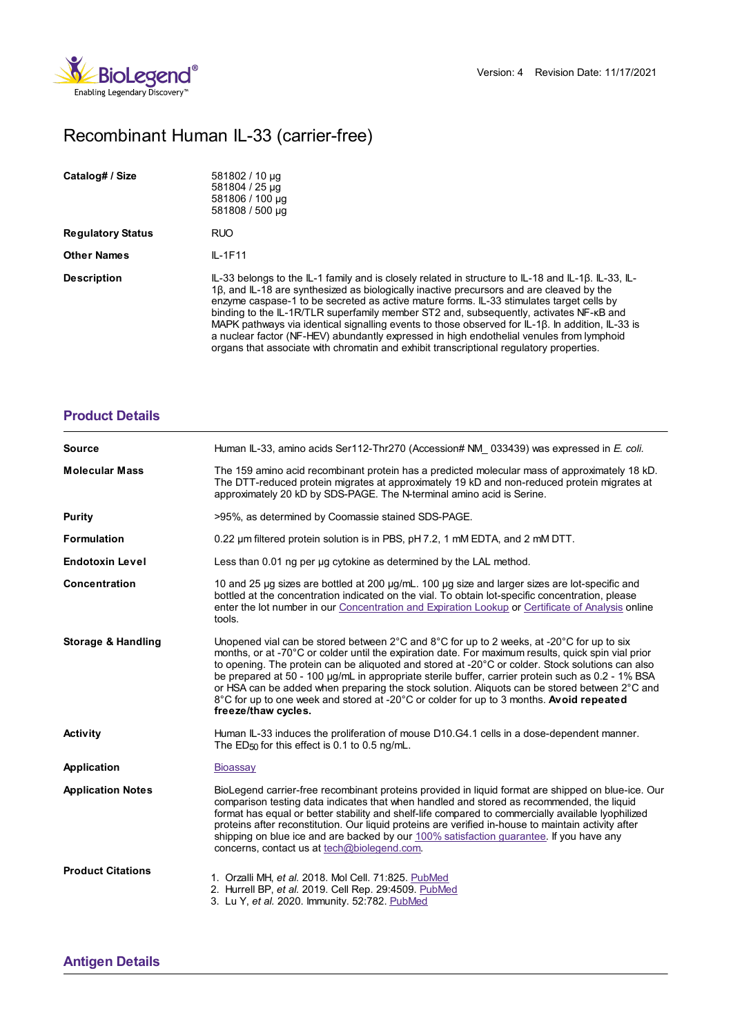

## Recombinant Human IL-33 (carrier-free)

| Catalog# / Size          | 581802 / 10 µg<br>581804 / 25 µg<br>581806 / 100 µg<br>581808 / 500 µg                                                                                                                                                                                                                                                                                                                                                                                                                                                                                                                                                                                                           |
|--------------------------|----------------------------------------------------------------------------------------------------------------------------------------------------------------------------------------------------------------------------------------------------------------------------------------------------------------------------------------------------------------------------------------------------------------------------------------------------------------------------------------------------------------------------------------------------------------------------------------------------------------------------------------------------------------------------------|
| <b>Regulatory Status</b> | <b>RUO</b>                                                                                                                                                                                                                                                                                                                                                                                                                                                                                                                                                                                                                                                                       |
| <b>Other Names</b>       | $IL-1F11$                                                                                                                                                                                                                                                                                                                                                                                                                                                                                                                                                                                                                                                                        |
| <b>Description</b>       | IL-33 belongs to the IL-1 family and is closely related in structure to IL-18 and IL-18. IL-33, IL-<br>1β, and IL-18 are synthesized as biologically inactive precursors and are cleaved by the<br>enzyme caspase-1 to be secreted as active mature forms. IL-33 stimulates target cells by<br>binding to the IL-1R/TLR superfamily member ST2 and, subsequently, activates NF-kB and<br>MAPK pathways via identical signalling events to those observed for IL-18. In addition, IL-33 is<br>a nuclear factor (NF-HEV) abundantly expressed in high endothelial venules from lymphoid<br>organs that associate with chromatin and exhibit transcriptional regulatory properties. |

## **[Product](https://production-dynamicweb.biolegend.com/it-it/products/recombinant-human-il-33-carrier-free-7857?pdf=true&displayInline=true&leftRightMargin=15&topBottomMargin=15&filename=Recombinant Human IL-33 (carrier-free).pdf#productDetails) Details**

| <b>Source</b>                 | Human IL-33, amino acids Ser112-Thr270 (Accession# NM 033439) was expressed in E. coli.                                                                                                                                                                                                                                                                                                                                                                                                                                                                                                                                                                     |
|-------------------------------|-------------------------------------------------------------------------------------------------------------------------------------------------------------------------------------------------------------------------------------------------------------------------------------------------------------------------------------------------------------------------------------------------------------------------------------------------------------------------------------------------------------------------------------------------------------------------------------------------------------------------------------------------------------|
| <b>Molecular Mass</b>         | The 159 amino acid recombinant protein has a predicted molecular mass of approximately 18 kD.<br>The DTT-reduced protein migrates at approximately 19 kD and non-reduced protein migrates at<br>approximately 20 kD by SDS-PAGE. The N-terminal amino acid is Serine.                                                                                                                                                                                                                                                                                                                                                                                       |
| Purity                        | >95%, as determined by Coomassie stained SDS-PAGE.                                                                                                                                                                                                                                                                                                                                                                                                                                                                                                                                                                                                          |
| <b>Formulation</b>            | 0.22 um filtered protein solution is in PBS, pH 7.2, 1 mM EDTA, and 2 mM DTT.                                                                                                                                                                                                                                                                                                                                                                                                                                                                                                                                                                               |
| <b>Endotoxin Level</b>        | Less than 0.01 ng per ug cytokine as determined by the LAL method.                                                                                                                                                                                                                                                                                                                                                                                                                                                                                                                                                                                          |
| Concentration                 | 10 and 25 µg sizes are bottled at 200 µg/mL. 100 µg size and larger sizes are lot-specific and<br>bottled at the concentration indicated on the vial. To obtain lot-specific concentration, please<br>enter the lot number in our Concentration and Expiration Lookup or Certificate of Analysis online<br>tools.                                                                                                                                                                                                                                                                                                                                           |
| <b>Storage &amp; Handling</b> | Unopened vial can be stored between $2^{\circ}$ C and $8^{\circ}$ C for up to 2 weeks, at -20 $^{\circ}$ C for up to six<br>months, or at -70°C or colder until the expiration date. For maximum results, quick spin vial prior<br>to opening. The protein can be aliquoted and stored at -20°C or colder. Stock solutions can also<br>be prepared at 50 - 100 µg/mL in appropriate sterile buffer, carrier protein such as 0.2 - 1% BSA<br>or HSA can be added when preparing the stock solution. Aliquots can be stored between 2°C and<br>8°C for up to one week and stored at -20°C or colder for up to 3 months. Avoid repeated<br>freeze/thaw cycles. |
| <b>Activity</b>               | Human IL-33 induces the proliferation of mouse D10.G4.1 cells in a dose-dependent manner.<br>The $ED_{50}$ for this effect is 0.1 to 0.5 ng/mL.                                                                                                                                                                                                                                                                                                                                                                                                                                                                                                             |
| Application                   | Bioassay                                                                                                                                                                                                                                                                                                                                                                                                                                                                                                                                                                                                                                                    |
| <b>Application Notes</b>      | BioLegend carrier-free recombinant proteins provided in liquid format are shipped on blue-ice. Our<br>comparison testing data indicates that when handled and stored as recommended, the liquid<br>format has equal or better stability and shelf-life compared to commercially available lyophilized<br>proteins after reconstitution. Our liquid proteins are verified in-house to maintain activity after<br>shipping on blue ice and are backed by our 100% satisfaction guarantee. If you have any<br>concerns, contact us at tech@biolegend.com.                                                                                                      |
| <b>Product Citations</b>      | 1. Orzalli MH, et al. 2018. Mol Cell. 71:825. PubMed<br>2. Hurrell BP, et al. 2019. Cell Rep. 29:4509. PubMed<br>3. Lu Y, et al. 2020. Immunity. 52:782. PubMed                                                                                                                                                                                                                                                                                                                                                                                                                                                                                             |